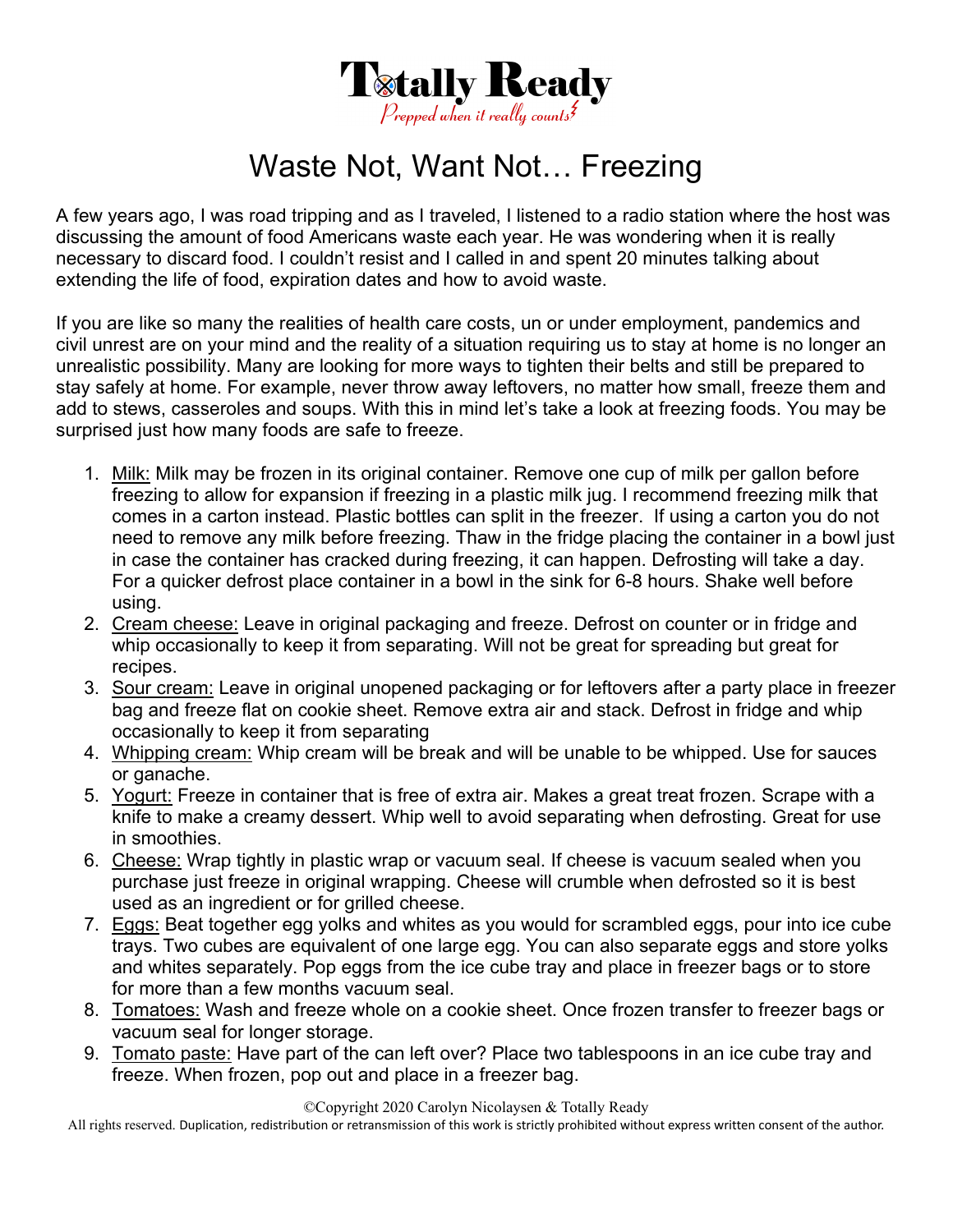

## Waste Not, Want Not… Freezing

A few years ago, I was road tripping and as I traveled, I listened to a radio station where the host was discussing the amount of food Americans waste each year. He was wondering when it is really necessary to discard food. I couldn't resist and I called in and spent 20 minutes talking about extending the life of food, expiration dates and how to avoid waste.

If you are like so many the realities of health care costs, un or under employment, pandemics and civil unrest are on your mind and the reality of a situation requiring us to stay at home is no longer an unrealistic possibility. Many are looking for more ways to tighten their belts and still be prepared to stay safely at home. For example, never throw away leftovers, no matter how small, freeze them and add to stews, casseroles and soups. With this in mind let's take a look at freezing foods. You may be surprised just how many foods are safe to freeze.

- 1. Milk: Milk may be frozen in its original container. Remove one cup of milk per gallon before freezing to allow for expansion if freezing in a plastic milk jug. I recommend freezing milk that comes in a carton instead. Plastic bottles can split in the freezer. If using a carton you do not need to remove any milk before freezing. Thaw in the fridge placing the container in a bowl just in case the container has cracked during freezing, it can happen. Defrosting will take a day. For a quicker defrost place container in a bowl in the sink for 6-8 hours. Shake well before using.
- 2. Cream cheese: Leave in original packaging and freeze. Defrost on counter or in fridge and whip occasionally to keep it from separating. Will not be great for spreading but great for recipes.
- 3. Sour cream: Leave in original unopened packaging or for leftovers after a party place in freezer bag and freeze flat on cookie sheet. Remove extra air and stack. Defrost in fridge and whip occasionally to keep it from separating
- 4. Whipping cream: Whip cream will be break and will be unable to be whipped. Use for sauces or ganache.
- 5. Yogurt: Freeze in container that is free of extra air. Makes a great treat frozen. Scrape with a knife to make a creamy dessert. Whip well to avoid separating when defrosting. Great for use in smoothies.
- 6. Cheese: Wrap tightly in plastic wrap or vacuum seal. If cheese is vacuum sealed when you purchase just freeze in original wrapping. Cheese will crumble when defrosted so it is best used as an ingredient or for grilled cheese.
- 7. Eggs: Beat together egg yolks and whites as you would for scrambled eggs, pour into ice cube trays. Two cubes are equivalent of one large egg. You can also separate eggs and store yolks and whites separately. Pop eggs from the ice cube tray and place in freezer bags or to store for more than a few months vacuum seal.
- 8. Tomatoes: Wash and freeze whole on a cookie sheet. Once frozen transfer to freezer bags or vacuum seal for longer storage.
- 9. Tomato paste: Have part of the can left over? Place two tablespoons in an ice cube tray and freeze. When frozen, pop out and place in a freezer bag.

©Copyright 2020 Carolyn Nicolaysen & Totally Ready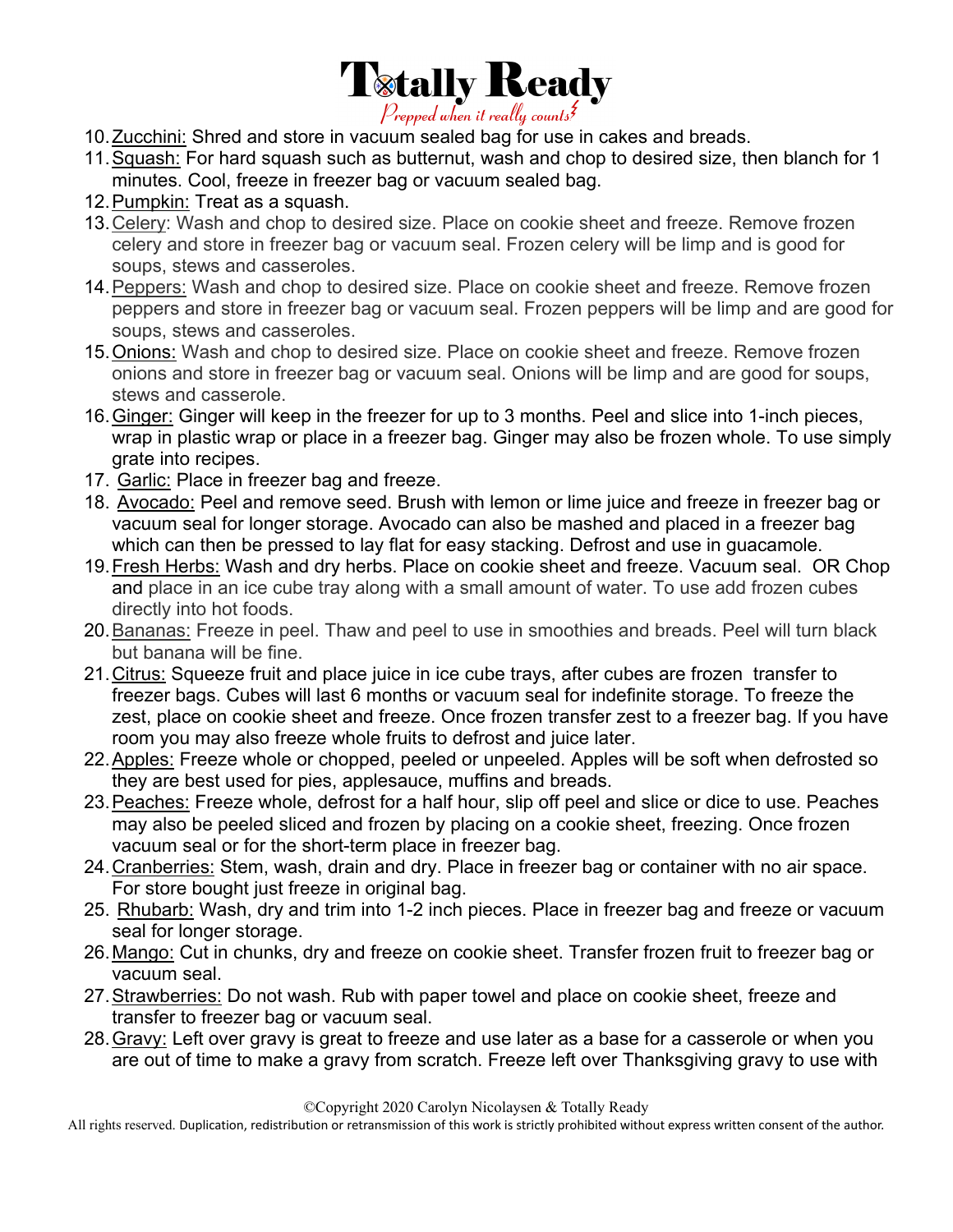

- 10.Zucchini: Shred and store in vacuum sealed bag for use in cakes and breads.
- 11.Squash: For hard squash such as butternut, wash and chop to desired size, then blanch for 1 minutes. Cool, freeze in freezer bag or vacuum sealed bag.
- 12.Pumpkin: Treat as a squash.
- 13.Celery: Wash and chop to desired size. Place on cookie sheet and freeze. Remove frozen celery and store in freezer bag or vacuum seal. Frozen celery will be limp and is good for soups, stews and casseroles.
- 14.Peppers: Wash and chop to desired size. Place on cookie sheet and freeze. Remove frozen peppers and store in freezer bag or vacuum seal. Frozen peppers will be limp and are good for soups, stews and casseroles.
- 15.Onions: Wash and chop to desired size. Place on cookie sheet and freeze. Remove frozen onions and store in freezer bag or vacuum seal. Onions will be limp and are good for soups, stews and casserole.
- 16.Ginger: Ginger will keep in the freezer for up to 3 months. Peel and slice into 1-inch pieces, wrap in plastic wrap or place in a freezer bag. Ginger may also be frozen whole. To use simply grate into recipes.
- 17. Garlic: Place in freezer bag and freeze.
- 18. Avocado: Peel and remove seed. Brush with lemon or lime juice and freeze in freezer bag or vacuum seal for longer storage. Avocado can also be mashed and placed in a freezer bag which can then be pressed to lay flat for easy stacking. Defrost and use in guacamole.
- 19.Fresh Herbs: Wash and dry herbs. Place on cookie sheet and freeze. Vacuum seal. OR Chop and place in an ice cube tray along with a small amount of water. To use add frozen cubes directly into hot foods.
- 20.Bananas: Freeze in peel. Thaw and peel to use in smoothies and breads. Peel will turn black but banana will be fine.
- 21.Citrus: Squeeze fruit and place juice in ice cube trays, after cubes are frozen transfer to freezer bags. Cubes will last 6 months or vacuum seal for indefinite storage. To freeze the zest, place on cookie sheet and freeze. Once frozen transfer zest to a freezer bag. If you have room you may also freeze whole fruits to defrost and juice later.
- 22.Apples: Freeze whole or chopped, peeled or unpeeled. Apples will be soft when defrosted so they are best used for pies, applesauce, muffins and breads.
- 23.Peaches: Freeze whole, defrost for a half hour, slip off peel and slice or dice to use. Peaches may also be peeled sliced and frozen by placing on a cookie sheet, freezing. Once frozen vacuum seal or for the short-term place in freezer bag.
- 24.Cranberries: Stem, wash, drain and dry. Place in freezer bag or container with no air space. For store bought just freeze in original bag.
- 25. Rhubarb: Wash, dry and trim into 1-2 inch pieces. Place in freezer bag and freeze or vacuum seal for longer storage.
- 26.Mango: Cut in chunks, dry and freeze on cookie sheet. Transfer frozen fruit to freezer bag or vacuum seal.
- 27.Strawberries: Do not wash. Rub with paper towel and place on cookie sheet, freeze and transfer to freezer bag or vacuum seal.
- 28.Gravy: Left over gravy is great to freeze and use later as a base for a casserole or when you are out of time to make a gravy from scratch. Freeze left over Thanksgiving gravy to use with

©Copyright 2020 Carolyn Nicolaysen & Totally Ready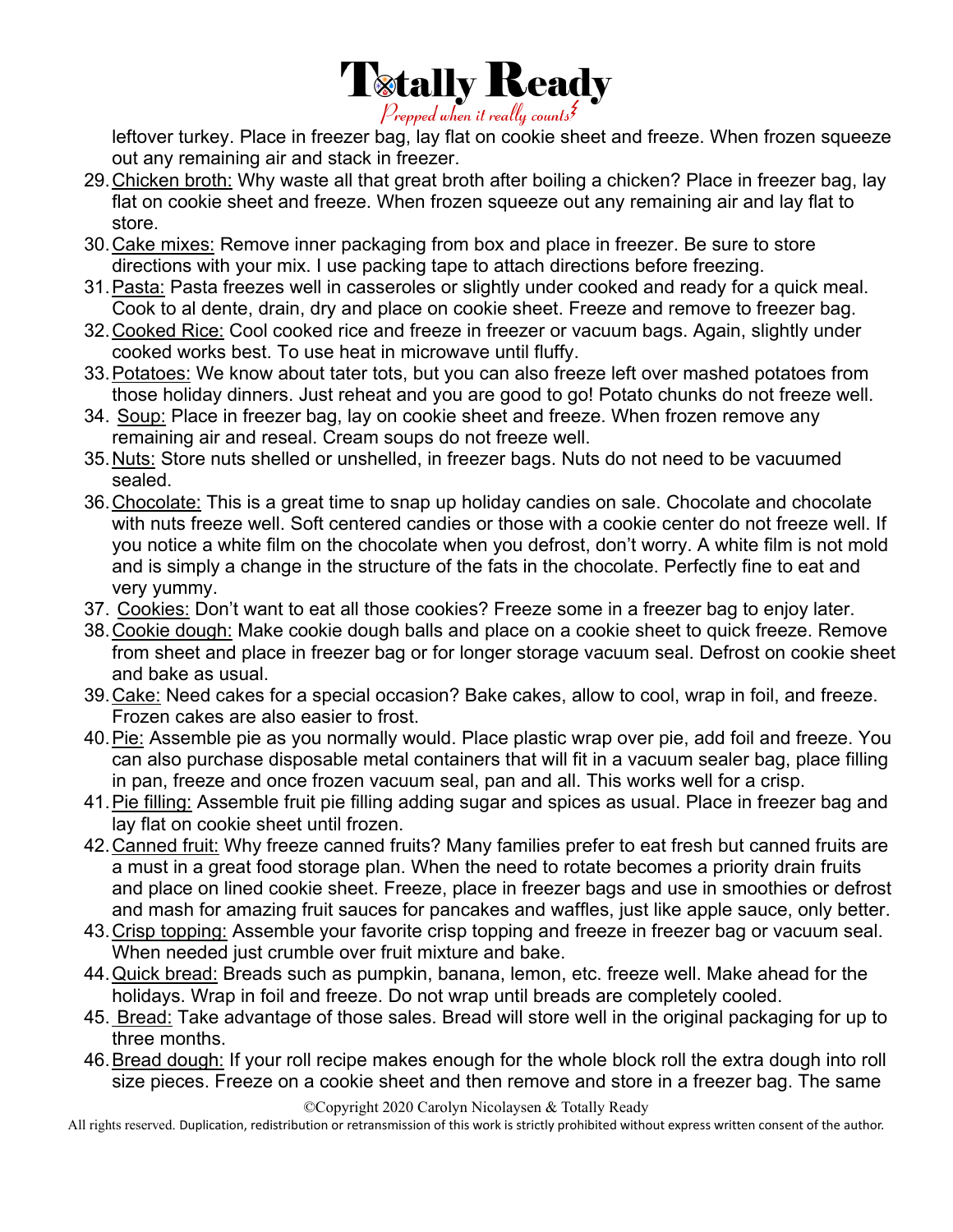

leftover turkey. Place in freezer bag, lay flat on cookie sheet and freeze. When frozen squeeze out any remaining air and stack in freezer.

- 29.Chicken broth: Why waste all that great broth after boiling a chicken? Place in freezer bag, lay flat on cookie sheet and freeze. When frozen squeeze out any remaining air and lay flat to store.
- 30.Cake mixes: Remove inner packaging from box and place in freezer. Be sure to store directions with your mix. I use packing tape to attach directions before freezing.
- 31.Pasta: Pasta freezes well in casseroles or slightly under cooked and ready for a quick meal. Cook to al dente, drain, dry and place on cookie sheet. Freeze and remove to freezer bag.
- 32.Cooked Rice: Cool cooked rice and freeze in freezer or vacuum bags. Again, slightly under cooked works best. To use heat in microwave until fluffy.
- 33. Potatoes: We know about tater tots, but you can also freeze left over mashed potatoes from those holiday dinners. Just reheat and you are good to go! Potato chunks do not freeze well.
- 34. Soup: Place in freezer bag, lay on cookie sheet and freeze. When frozen remove any remaining air and reseal. Cream soups do not freeze well.
- 35.Nuts: Store nuts shelled or unshelled, in freezer bags. Nuts do not need to be vacuumed sealed.
- 36.Chocolate: This is a great time to snap up holiday candies on sale. Chocolate and chocolate with nuts freeze well. Soft centered candies or those with a cookie center do not freeze well. If you notice a white film on the chocolate when you defrost, don't worry. A white film is not mold and is simply a change in the structure of the fats in the chocolate. Perfectly fine to eat and very yummy.
- 37. Cookies: Don't want to eat all those cookies? Freeze some in a freezer bag to enjoy later.
- 38.Cookie dough: Make cookie dough balls and place on a cookie sheet to quick freeze. Remove from sheet and place in freezer bag or for longer storage vacuum seal. Defrost on cookie sheet and bake as usual.
- 39.Cake: Need cakes for a special occasion? Bake cakes, allow to cool, wrap in foil, and freeze. Frozen cakes are also easier to frost.
- 40.Pie: Assemble pie as you normally would. Place plastic wrap over pie, add foil and freeze. You can also purchase disposable metal containers that will fit in a vacuum sealer bag, place filling in pan, freeze and once frozen vacuum seal, pan and all. This works well for a crisp.
- 41.Pie filling: Assemble fruit pie filling adding sugar and spices as usual. Place in freezer bag and lay flat on cookie sheet until frozen.
- 42.Canned fruit: Why freeze canned fruits? Many families prefer to eat fresh but canned fruits are a must in a great food storage plan. When the need to rotate becomes a priority drain fruits and place on lined cookie sheet. Freeze, place in freezer bags and use in smoothies or defrost and mash for amazing fruit sauces for pancakes and waffles, just like apple sauce, only better.
- 43.Crisp topping: Assemble your favorite crisp topping and freeze in freezer bag or vacuum seal. When needed just crumble over fruit mixture and bake.
- 44.Quick bread: Breads such as pumpkin, banana, lemon, etc. freeze well. Make ahead for the holidays. Wrap in foil and freeze. Do not wrap until breads are completely cooled.
- 45. Bread: Take advantage of those sales. Bread will store well in the original packaging for up to three months.
- 46. Bread dough: If your roll recipe makes enough for the whole block roll the extra dough into roll size pieces. Freeze on a cookie sheet and then remove and store in a freezer bag. The same

©Copyright 2020 Carolyn Nicolaysen & Totally Ready